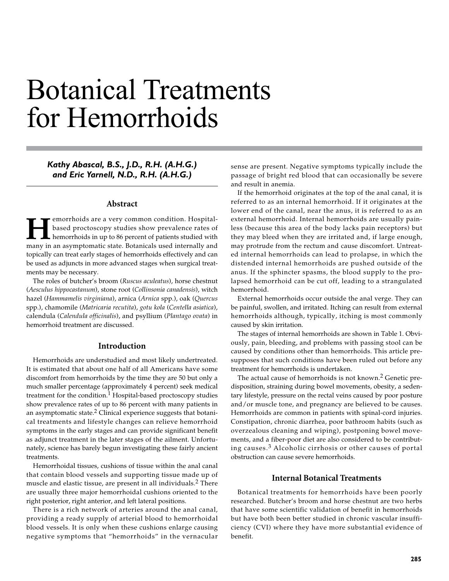# Botanical Treatments for Hemorrhoids

# *Kathy Abascal, B.S., J.D., R.H. (A.H.G.) and Eric Yarnell, N.D., R.H. (A.H.G.)*

## **Abstract**

**Hemorrhoids are a very common condition. Hospital-**<br>based proctoscopy studies show prevalence rates of<br>hemorrhoids in up to 86 percent of patients studied with<br>many in an asymptomatic state. Botanicals used internally and based proctoscopy studies show prevalence rates of hemorrhoids in up to 86 percent of patients studied with many in an asymptomatic state. Botanicals used internally and topically can treat early stages of hemorrhoids effectively and can be used as adjuncts in more advanced stages when surgical treatments may be necessary.

The roles of butcher's broom (*Ruscus aculeatus*), horse chestnut (*Aesculus hippocastanum*), stone root (*Collinsonia canadensis*), witch hazel (*Hammamelis virginiana*), arnica (*Arnica* spp.), oak (*Quercus* spp.), chamomile (*Matricaria recutita*), *gotu kola* (*Centella asiatica*), calendula (*Calendula officinalis*), and psyllium (*Plantago ovata*) in hemorrhoid treatment are discussed.

### **Introduction**

Hemorrhoids are understudied and most likely undertreated. It is estimated that about one half of all Americans have some discomfort from hemorrhoids by the time they are 50 but only a much smaller percentage (approximately 4 percent) seek medical treatment for the condition.<sup>1</sup> Hospital-based proctoscopy studies show prevalence rates of up to 86 percent with many patients in an asymptomatic state.<sup>2</sup> Clinical experience suggests that botanical treatments and lifestyle changes can relieve hemorrhoid symptoms in the early stages and can provide significant benefit as adjunct treatment in the later stages of the ailment. Unfortunately, science has barely begun investigating these fairly ancient treatments.

Hemorrhoidal tissues, cushions of tissue within the anal canal that contain blood vessels and supporting tissue made up of muscle and elastic tissue, are present in all individuals.<sup>2</sup> There are usually three major hemorrhoidal cushions oriented to the right posterior, right anterior, and left lateral positions.

There is a rich network of arteries around the anal canal, providing a ready supply of arterial blood to hemorrhoidal blood vessels. It is only when these cushions enlarge causing negative symptoms that "hemorrhoids" in the vernacular sense are present. Negative symptoms typically include the passage of bright red blood that can occasionally be severe and result in anemia.

If the hemorrhoid originates at the top of the anal canal, it is referred to as an internal hemorrhoid. If it originates at the lower end of the canal, near the anus, it is referred to as an external hemorrhoid. Internal hemorrhoids are usually painless (because this area of the body lacks pain receptors) but they may bleed when they are irritated and, if large enough, may protrude from the rectum and cause discomfort. Untreated internal hemorrhoids can lead to prolapse, in which the distended internal hemorrhoids are pushed outside of the anus. If the sphincter spasms, the blood supply to the prolapsed hemorrhoid can be cut off, leading to a strangulated hemorrhoid.

External hemorrhoids occur outside the anal verge. They can be painful, swollen, and irritated. Itching can result from external hemorrhoids although, typically, itching is most commonly caused by skin irritation.

The stages of internal hemorrhoids are shown in Table 1. Obviously, pain, bleeding, and problems with passing stool can be caused by conditions other than hemorrhoids. This article presupposes that such conditions have been ruled out before any treatment for hemorrhoids is undertaken.

The actual cause of hemorrhoids is not known.<sup>2</sup> Genetic predisposition, straining during bowel movements, obesity, a sedentary lifestyle, pressure on the rectal veins caused by poor posture and/or muscle tone, and pregnancy are believed to be causes. Hemorrhoids are common in patients with spinal-cord injuries. Constipation, chronic diarrhea, poor bathroom habits (such as overzealous cleaning and wiping), postponing bowel movements, and a fiber-poor diet are also considered to be contributing causes.<sup>3</sup> Alcoholic cirrhosis or other causes of portal obstruction can cause severe hemorrhoids.

## **Internal Botanical Treatments**

Botanical treatments for hemorrhoids have been poorly researched. Butcher's broom and horse chestnut are two herbs that have some scientific validation of benefit in hemorrhoids but have both been better studied in chronic vascular insufficiency (CVI) where they have more substantial evidence of benefit.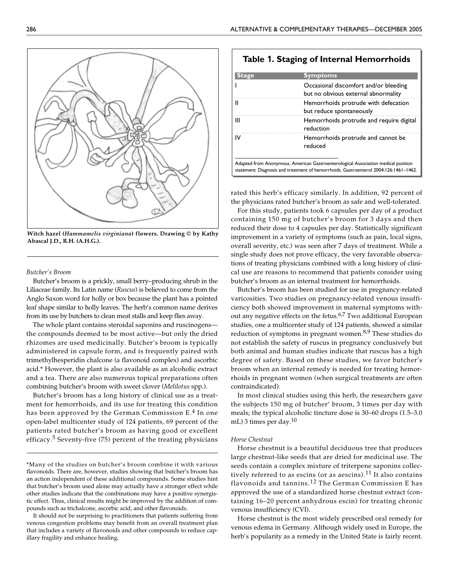

**Witch hazel (***Hammamelis virginiana***) flowers. Drawing © by Kathy Abascal J.D., R.H. (A.H.G.).**

#### *Butcher's Broom*

Butcher's broom is a prickly, small berry–producing shrub in the Liliaceae family. Its Latin name (*Ruscus*) is believed to come from the Anglo Saxon word for holly or box because the plant has a pointed leaf shape similar to holly leaves. The herb's common name derives from its use by butchers to clean meat stalls and keep flies away.

The whole plant contains steroidal saponins and ruscinogens the compounds deemed to be most active—but only the dried rhizomes are used medicinally. Butcher's broom is typically administered in capsule form, and is frequently paired with trimethylhesperidin chalcone (a flavonoid complex) and ascorbic acid.\* However, the plant is also available as an alcoholic extract and a tea. There are also numerous topical preparations often combining butcher's broom with sweet clover (*Melilotus* spp*.*).

Butcher's broom has a long history of clinical use as a treatment for hemorrhoids, and its use for treating this condition has been approved by the German Commission  $E<sup>4</sup>$  In one open-label multicenter study of 124 patients, 69 percent of the patients rated butcher's broom as having good or excellent efficacy.<sup>5</sup> Seventy-five (75) percent of the treating physicians

It should not be surprising to practitioners that patients suffering from venous congestion problems may benefit from an overall treatment plan that includes a variety of flavonoids and other compounds to reduce capillary fragility and enhance healing.

# **Table 1. Staging of Internal Hemorrhoids**

| tage | <b>Symptoms</b>                                                              |
|------|------------------------------------------------------------------------------|
|      | Occasional discomfort and/or bleeding<br>but no obvious external abnormality |
|      | Hemorrhoids protrude with defecation<br>but reduce spontaneously             |
| ш    | Hemorrhoids protrude and require digital<br>reduction                        |
|      | Hemorrhoids protrude and cannot be<br>reduced                                |

rated this herb's efficacy similarly. In addition, 92 percent of the physicians rated butcher's broom as safe and well-tolerated.

For this study, patients took 6 capsules per day of a product containing 150 mg of butcher's broom for 3 days and then reduced their dose to 4 capsules per day. Statistically significant improvement in a variety of symptoms (such as pain, local signs, overall severity, etc.) was seen after 7 days of treatment. While a single study does not prove efficacy, the very favorable observations of treating physicians combined with a long history of clinical use are reasons to recommend that patients consider using butcher's broom as an internal treatment for hemorrhoids.

Butcher's broom has been studied for use in pregnancy-related varicosities. Two studies on pregnancy-related venous insufficiency both showed improvement in maternal symptoms without any negative effects on the fetus.<sup>6,7</sup> Two additional European studies, one a multicenter study of 124 patients, showed a similar reduction of symptoms in pregnant women. $8.9$  These studies do not establish the safety of ruscus in pregnancy conclusively but both animal and human studies indicate that ruscus has a high degree of safety. Based on these studies, we favor butcher's broom when an internal remedy is needed for treating hemorrhoids in pregnant women (when surgical treatments are often contraindicated).

In most clinical studies using this herb, the researchers gave the subjects 150 mg of butcher' broom, 3 times per day with meals; the typical alcoholic tincture dose is 30–60 drops (1.5–3.0 mL) 3 times per day.<sup>10</sup>

#### *Horse Chestnut*

Horse chestnut is a beautiful deciduous tree that produces large chestnut-like seeds that are dried for medicinal use. The seeds contain a complex mixture of triterpene saponins collectively referred to as escins (or as aescins).<sup>11</sup> It also contains flavonoids and tannins.<sup>12</sup> The German Commission E has approved the use of a standardized horse chestnut extract (containing 16–20 percent anhydrous escin) for treating chronic venous insufficiency (CVI).

Horse chestnut is the most widely prescribed oral remedy for venous edema in Germany. Although widely used in Europe, the herb's popularity as a remedy in the United State is fairly recent.

<sup>\*</sup>Many of the studies on butcher's broom combine it with various flavonoids. There are, however, studies showing that butcher's broom has an action independent of these additional compounds. Some studies hint that butcher's broom used alone may actually have a stronger effect while other studies indicate that the combinations may have a positive synergistic effect. Thus, clinical results might be improved by the addition of compounds such as trichalcone, ascorbic acid, and other flavonoids.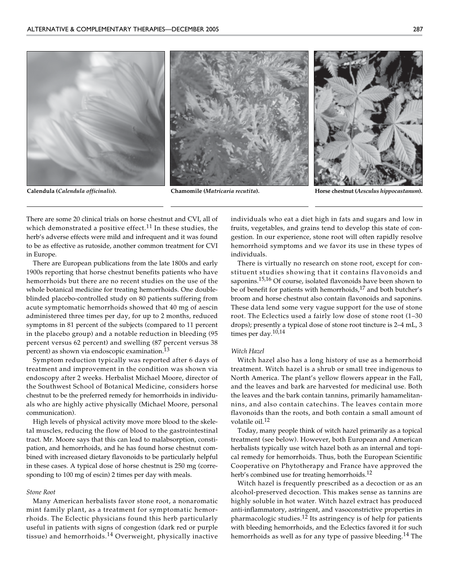

**Calendula (***Calendula officinalis***). Chamomile (***Matricaria recutita***). Horse chestnut (***Aesculus hippocastanum***).**

There are some 20 clinical trials on horse chestnut and CVI, all of which demonstrated a positive effect.<sup>11</sup> In these studies, the herb's adverse effects were mild and infrequent and it was found to be as effective as rutoside, another common treatment for CVI in Europe.

There are European publications from the late 1800s and early 1900s reporting that horse chestnut benefits patients who have hemorrhoids but there are no recent studies on the use of the whole botanical medicine for treating hemorrhoids. One doubleblinded placebo-controlled study on 80 patients suffering from acute symptomatic hemorrhoids showed that 40 mg of aescin administered three times per day, for up to 2 months, reduced symptoms in 81 percent of the subjects (compared to 11 percent in the placebo group) and a notable reduction in bleeding (95 percent versus 62 percent) and swelling (87 percent versus 38 percent) as shown via endoscopic examination.13

Symptom reduction typically was reported after 6 days of treatment and improvement in the condition was shown via endoscopy after 2 weeks. Herbalist Michael Moore, director of the Southwest School of Botanical Medicine, considers horse chestnut to be the preferred remedy for hemorrhoids in individuals who are highly active physically (Michael Moore, personal communication).

High levels of physical activity move more blood to the skeletal muscles, reducing the flow of blood to the gastrointestinal tract. Mr. Moore says that this can lead to malabsorption, constipation, and hemorrhoids, and he has found horse chestnut combined with increased dietary flavonoids to be particularly helpful in these cases. A typical dose of horse chestnut is 250 mg (corresponding to 100 mg of escin) 2 times per day with meals.

#### *Stone Root*

Many American herbalists favor stone root, a nonaromatic mint family plant, as a treatment for symptomatic hemorrhoids. The Eclectic physicians found this herb particularly useful in patients with signs of congestion (dark red or purple tissue) and hemorrhoids.<sup>14</sup> Overweight, physically inactive

individuals who eat a diet high in fats and sugars and low in fruits, vegetables, and grains tend to develop this state of congestion. In our experience, stone root will often rapidly resolve hemorrhoid symptoms and we favor its use in these types of individuals.

There is virtually no research on stone root, except for constituent studies showing that it contains flavonoids and saponins.<sup>15,16</sup> Of course, isolated flavonoids have been shown to be of benefit for patients with hemorrhoids,<sup>17</sup> and both butcher's broom and horse chestnut also contain flavonoids and saponins. These data lend some very vague support for the use of stone root. The Eclectics used a fairly low dose of stone root (1–30 drops); presently a typical dose of stone root tincture is 2–4 mL, 3 times per day.<sup>10,14</sup>

#### *Witch Hazel*

Witch hazel also has a long history of use as a hemorrhoid treatment. Witch hazel is a shrub or small tree indigenous to North America. The plant's yellow flowers appear in the Fall, and the leaves and bark are harvested for medicinal use. Both the leaves and the bark contain tannins, primarily hamamelitannins, and also contain catechins. The leaves contain more flavonoids than the roots, and both contain a small amount of volatile oil.<sup>12</sup>

Today, many people think of witch hazel primarily as a topical treatment (see below). However, both European and American herbalists typically use witch hazel both as an internal and topical remedy for hemorrhoids. Thus, both the European Scientific Cooperative on Phytotherapy and France have approved the herb's combined use for treating hemorrhoids.<sup>12</sup>

Witch hazel is frequently prescribed as a decoction or as an alcohol-preserved decoction. This makes sense as tannins are highly soluble in hot water. Witch hazel extract has produced anti-inflammatory, astringent, and vasoconstrictive properties in pharmacologic studies.<sup>12</sup> Its astringency is of help for patients with bleeding hemorrhoids, and the Eclectics favored it for such hemorrhoids as well as for any type of passive bleeding.<sup>14</sup> The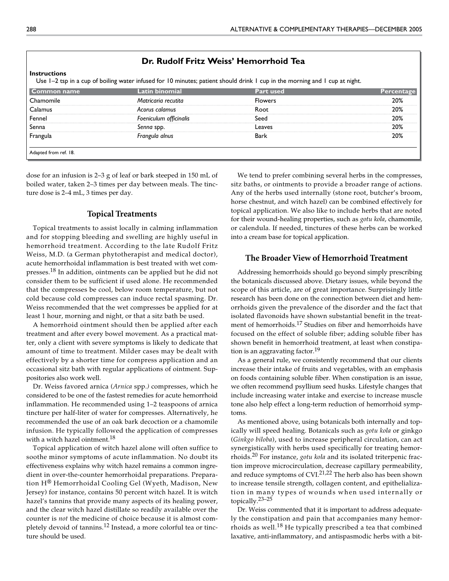# **Instructions** Use 1–2 tsp in a cup of boiling water infused for 10 minutes; patient should drink 1 cup in the morning and 1 cup at night. **Common name Latin binomial Part used Percentage** Chamomile *Matricaria recutita* Flowers 20% Calamus *Acorus calamus* Root 20% Fennel *Foeniculum officinalis* Seed 20% Senna *Senna* spp. Leaves 20% Frangula *Frangula alnus* Bark 20% Adapted from ref. 18.

**Dr. Rudolf Fritz Weiss' Hemorrhoid Tea**

dose for an infusion is 2–3 g of leaf or bark steeped in 150 mL of boiled water, taken 2–3 times per day between meals. The tinc-

## **Topical Treatments**

ture dose is 2–4 mL, 3 times per day.

Topical treatments to assist locally in calming inflammation and for stopping bleeding and swelling are highly useful in hemorrhoid treatment. According to the late Rudolf Fritz Weiss, M.D. (a German phytotherapist and medical doctor), acute hemorrhoidal inflammation is best treated with wet compresses.<sup>18</sup> In addition, ointments can be applied but he did not consider them to be sufficient if used alone. He recommended that the compresses be cool, below room temperature, but not cold because cold compresses can induce rectal spasming. Dr. Weiss recommended that the wet compresses be applied for at least 1 hour, morning and night, or that a sitz bath be used.

A hemorrhoid ointment should then be applied after each treatment and after every bowel movement. As a practical matter, only a client with severe symptoms is likely to dedicate that amount of time to treatment. Milder cases may be dealt with effectively by a shorter time for compress application and an occasional sitz bath with regular applications of ointment. Suppositories also work well.

Dr. Weiss favored arnica (*Arnica* spp.*)* compresses, which he considered to be one of the fastest remedies for acute hemorrhoid inflammation. He recommended using 1–2 teaspoons of arnica tincture per half-liter of water for compresses. Alternatively, he recommended the use of an oak bark decoction or a chamomile infusion. He typically followed the application of compresses with a witch hazel ointment.<sup>18</sup>

Topical application of witch hazel alone will often suffice to soothe minor symptoms of acute inflammation. No doubt its effectiveness explains why witch hazel remains a common ingredient in over-the-counter hemorrhoidal preparations. Preparation H® Hemorrhoidal Cooling Gel (Wyeth, Madison, New Jersey) for instance, contains 50 percent witch hazel. It is witch hazel's tannins that provide many aspects of its healing power, and the clear witch hazel distillate so readily available over the counter is *not* the medicine of choice because it is almost completely devoid of tannins.<sup>12</sup> Instead, a more colorful tea or tincture should be used.

We tend to prefer combining several herbs in the compresses, sitz baths, or ointments to provide a broader range of actions. Any of the herbs used internally (stone root, butcher's broom, horse chestnut, and witch hazel) can be combined effectively for topical application. We also like to include herbs that are noted for their wound-healing properties, such as *gotu kola*, chamomile, or calendula. If needed, tinctures of these herbs can be worked into a cream base for topical application.

## **The Broader View of Hemorrhoid Treatment**

Addressing hemorrhoids should go beyond simply prescribing the botanicals discussed above. Dietary issues, while beyond the scope of this article, are of great importance. Surprisingly little research has been done on the connection between diet and hemorrhoids given the prevalence of the disorder and the fact that isolated flavonoids have shown substantial benefit in the treatment of hemorrhoids.<sup>17</sup> Studies on fiber and hemorrhoids have focused on the effect of soluble fiber; adding soluble fiber has shown benefit in hemorrhoid treatment, at least when constipation is an aggravating factor.<sup>19</sup>

As a general rule, we consistently recommend that our clients increase their intake of fruits and vegetables, with an emphasis on foods containing soluble fiber. When constipation is an issue, we often recommend psyllium seed husks. Lifestyle changes that include increasing water intake and exercise to increase muscle tone also help effect a long-term reduction of hemorrhoid symptoms.

As mentioned above, using botanicals both internally and topically will speed healing. Botanicals such as *gotu kola* or ginkgo (*Ginkgo biloba*), used to increase peripheral circulation, can act synergistically with herbs used specifically for treating hemorrhoids.<sup>20</sup> For instance, *gotu kola* and its isolated triterpenic fraction improve microcirculation, decrease capillary permeability, and reduce symptoms of  $CVI^{21,22}$  The herb also has been shown to increase tensile strength, collagen content, and epithelialization in many types of wounds when used internally or topically.23–25

Dr. Weiss commented that it is important to address adequately the constipation and pain that accompanies many hemorrhoids as well.<sup>18</sup> He typically prescribed a tea that combined laxative, anti-inflammatory, and antispasmodic herbs with a bit